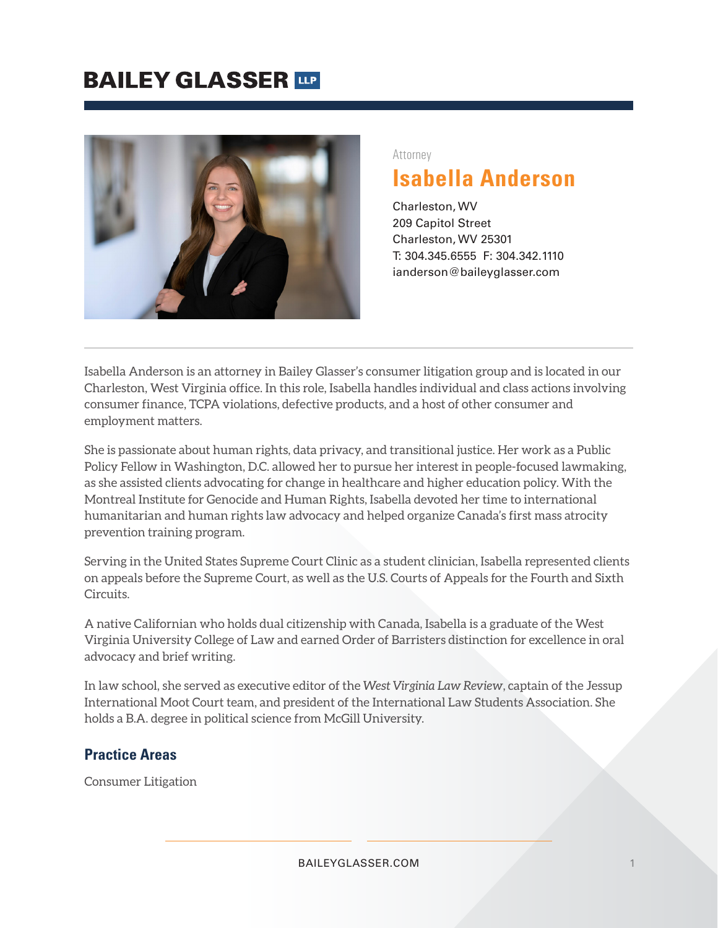## **BAILEY GLASSER TIP**



#### Attorney

## **Isabella Anderson**

Charleston, WV 209 Capitol Street Charleston, WV 25301 T: 304.345.6555 F: 304.342.1110 ianderson@baileyglasser.com

Isabella Anderson is an attorney in Bailey Glasser's consumer litigation group and is located in our Charleston, West Virginia office. In this role, Isabella handles individual and class actions involving consumer finance, TCPA violations, defective products, and a host of other consumer and employment matters.

She is passionate about human rights, data privacy, and transitional justice. Her work as a Public Policy Fellow in Washington, D.C. allowed her to pursue her interest in people-focused lawmaking, as she assisted clients advocating for change in healthcare and higher education policy. With the Montreal Institute for Genocide and Human Rights, Isabella devoted her time to international humanitarian and human rights law advocacy and helped organize Canada's first mass atrocity prevention training program.

Serving in the United States Supreme Court Clinic as a student clinician, Isabella represented clients on appeals before the Supreme Court, as well as the U.S. Courts of Appeals for the Fourth and Sixth Circuits.

A native Californian who holds dual citizenship with Canada, Isabella is a graduate of the West Virginia University College of Law and earned Order of Barristers distinction for excellence in oral advocacy and brief writing.

In law school, she served as executive editor of the *West Virginia Law Review*, captain of the Jessup International Moot Court team, and president of the International Law Students Association. She holds a B.A. degree in political science from McGill University.

### **Practice Areas**

Consumer Litigation